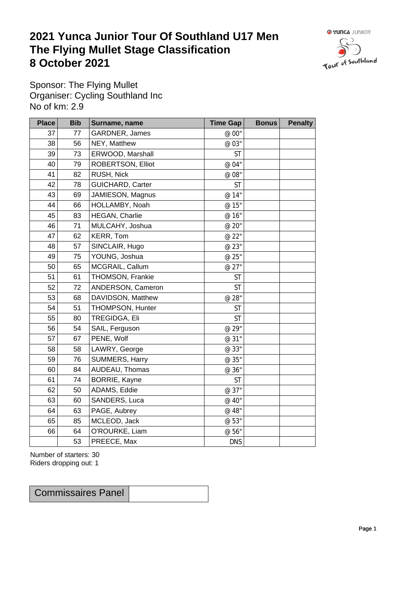## **2021 Yunca Junior Tour Of Southland U17 Men** The Flying Mullet Stage Classification<br>8 October 2021 **8 October 2021**



Sponsor: The Flying Mullet Organiser: Cycling Southland Inc No of km: 2.9

| <b>Place</b> | <b>Bib</b> | Surname, name        | <b>Time Gap</b> | <b>Bonus</b> | <b>Penalty</b> |
|--------------|------------|----------------------|-----------------|--------------|----------------|
| 37           | $77 \,$    | GARDNER, James       | @ 00"           |              |                |
| 38           | 56         | NEY, Matthew         | @ 03"           |              |                |
| 39           | 73         | ERWOOD, Marshall     | <b>ST</b>       |              |                |
| 40           | 79         | ROBERTSON, Elliot    | @ 04"           |              |                |
| 41           | 82         | RUSH, Nick           | $\emptyset$ 08" |              |                |
| 42           | 78         | GUICHARD, Carter     | <b>ST</b>       |              |                |
| 43           | 69         | JAMIESON, Magnus     | @ 14"           |              |                |
| 44           | 66         | HOLLAMBY, Noah       | @ 15"           |              |                |
| 45           | 83         | HEGAN, Charlie       | @ 16"           |              |                |
| 46           | 71         | MULCAHY, Joshua      | @ 20"           |              |                |
| 47           | 62         | KERR, Tom            | @ 22"           |              |                |
| 48           | 57         | SINCLAIR, Hugo       | @ 23"           |              |                |
| 49           | 75         | YOUNG, Joshua        | @ 25"           |              |                |
| 50           | 65         | MCGRAIL, Callum      | @ 27"           |              |                |
| 51           | 61         | THOMSON, Frankie     | ST              |              |                |
| 52           | 72         | ANDERSON, Cameron    | <b>ST</b>       |              |                |
| 53           | 68         | DAVIDSON, Matthew    | @ 28"           |              |                |
| 54           | 51         | THOMPSON, Hunter     | <b>ST</b>       |              |                |
| 55           | 80         | TREGIDGA, Eli        | <b>ST</b>       |              |                |
| 56           | 54         | SAIL, Ferguson       | @ 29"           |              |                |
| 57           | 67         | PENE, Wolf           | @ 31"           |              |                |
| 58           | 58         | LAWRY, George        | @ 33"           |              |                |
| 59           | 76         | SUMMERS, Harry       | @ 35"           |              |                |
| 60           | 84         | AUDEAU, Thomas       | @ 36"           |              |                |
| 61           | 74         | <b>BORRIE, Kayne</b> | <b>ST</b>       |              |                |
| 62           | 50         | ADAMS, Eddie         | @ 37"           |              |                |
| 63           | 60         | SANDERS, Luca        | @ 40"           |              |                |
| 64           | 63         | PAGE, Aubrey         | @ 48"           |              |                |
| 65           | 85         | MCLEOD, Jack         | @ 53"           |              |                |
| 66           | 64         | O'ROURKE, Liam       | @ 56"           |              |                |
|              | 53         | PREECE, Max          | <b>DNS</b>      |              |                |

Number of starters: 30 Riders dropping out: 1

Commissaires Panel